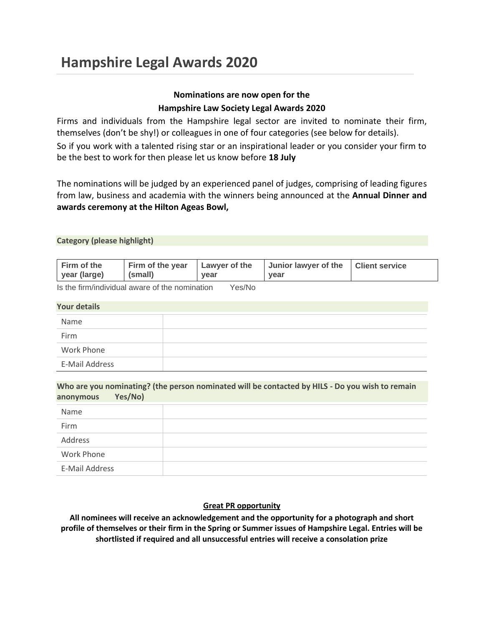## **Nominations are now open for the**

## **Hampshire Law Society Legal Awards 2020**

Firms and individuals from the Hampshire legal sector are invited to nominate their firm, themselves (don't be shy!) or colleagues in one of four categories (see below for details). So if you work with a talented rising star or an inspirational leader or you consider your firm to be the best to work for then please let us know before **18 July**

The nominations will be judged by an experienced panel of judges, comprising of leading figures from law, business and academia with the winners being announced at the **Annual Dinner and awards ceremony at the Hilton Ageas Bowl,**

### **Category (please highlight)**

| Firm of the<br>year (large)<br>l (small) | vear | Firm of the year   Lawyer of the   Junior lawyer of the   Client service<br>vear |  |  |
|------------------------------------------|------|----------------------------------------------------------------------------------|--|--|
|------------------------------------------|------|----------------------------------------------------------------------------------|--|--|

Is the firm/individual aware of the nomination Yes/No

### **Your details**

| Name           |  |  |
|----------------|--|--|
| Firm           |  |  |
| Work Phone     |  |  |
| E-Mail Address |  |  |

**Who are you nominating? (the person nominated will be contacted by HILS - Do you wish to remain anonymous Yes/No)**

| Name           |  |
|----------------|--|
| Firm           |  |
| Address        |  |
| Work Phone     |  |
| E-Mail Address |  |

## **Great PR opportunity**

**All nominees will receive an acknowledgement and the opportunity for a photograph and short profile of themselves or their firm in the Spring or Summer issues of Hampshire Legal. Entries will be shortlisted if required and all unsuccessful entries will receive a consolation prize**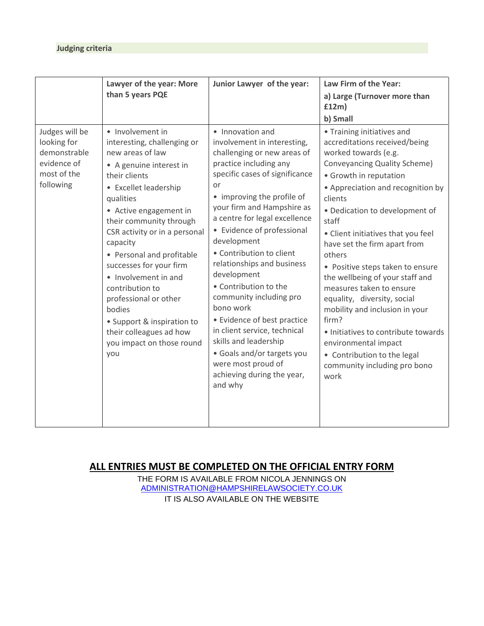|                                                                                          | Lawyer of the year: More<br>than 5 years PQE                                                                                                                                                                                                                                                                                                                                                                                                                                               | Junior Lawyer of the year:                                                                                                                                                                                                                                                                                                                                                                                                                                                                                                                                                                                                | Law Firm of the Year:<br>a) Large (Turnover more than<br>f12m)<br>b) Small                                                                                                                                                                                                                                                                                                                                                                                                                                                                                                                                                                  |
|------------------------------------------------------------------------------------------|--------------------------------------------------------------------------------------------------------------------------------------------------------------------------------------------------------------------------------------------------------------------------------------------------------------------------------------------------------------------------------------------------------------------------------------------------------------------------------------------|---------------------------------------------------------------------------------------------------------------------------------------------------------------------------------------------------------------------------------------------------------------------------------------------------------------------------------------------------------------------------------------------------------------------------------------------------------------------------------------------------------------------------------------------------------------------------------------------------------------------------|---------------------------------------------------------------------------------------------------------------------------------------------------------------------------------------------------------------------------------------------------------------------------------------------------------------------------------------------------------------------------------------------------------------------------------------------------------------------------------------------------------------------------------------------------------------------------------------------------------------------------------------------|
| Judges will be<br>looking for<br>demonstrable<br>evidence of<br>most of the<br>following | • Involvement in<br>interesting, challenging or<br>new areas of law<br>• A genuine interest in<br>their clients<br>• Excellet leadership<br>qualities<br>• Active engagement in<br>their community through<br>CSR activity or in a personal<br>capacity<br>• Personal and profitable<br>successes for your firm<br>• Involvement in and<br>contribution to<br>professional or other<br>bodies<br>• Support & inspiration to<br>their colleagues ad how<br>you impact on those round<br>you | • Innovation and<br>involvement in interesting,<br>challenging or new areas of<br>practice including any<br>specific cases of significance<br>or<br>• improving the profile of<br>your firm and Hampshire as<br>a centre for legal excellence<br>• Evidence of professional<br>development<br>• Contribution to client<br>relationships and business<br>development<br>• Contribution to the<br>community including pro<br>bono work<br>• Evidence of best practice<br>in client service, technical<br>skills and leadership<br>• Goals and/or targets you<br>were most proud of<br>achieving during the year,<br>and why | • Training initiatives and<br>accreditations received/being<br>worked towards (e.g.<br>Conveyancing Quality Scheme)<br>• Growth in reputation<br>• Appreciation and recognition by<br>clients<br>• Dedication to development of<br>staff<br>• Client initiatives that you feel<br>have set the firm apart from<br>others<br>• Positive steps taken to ensure<br>the wellbeing of your staff and<br>measures taken to ensure<br>equality, diversity, social<br>mobility and inclusion in your<br>firm?<br>· Initiatives to contribute towards<br>environmental impact<br>• Contribution to the legal<br>community including pro bono<br>work |

# **ALL ENTRIES MUST BE COMPLETED ON THE OFFICIAL ENTRY FORM**

THE FORM IS AVAILABLE FROM NICOLA JENNINGS ON [ADMINISTRATION@HAMPSHIRELAWSOCIETY.CO.UK](mailto:ADMINISTRATION@HAMPSHIRELAWSOCIETY.CO.UK) IT IS ALSO AVAILABLE ON THE WEBSITE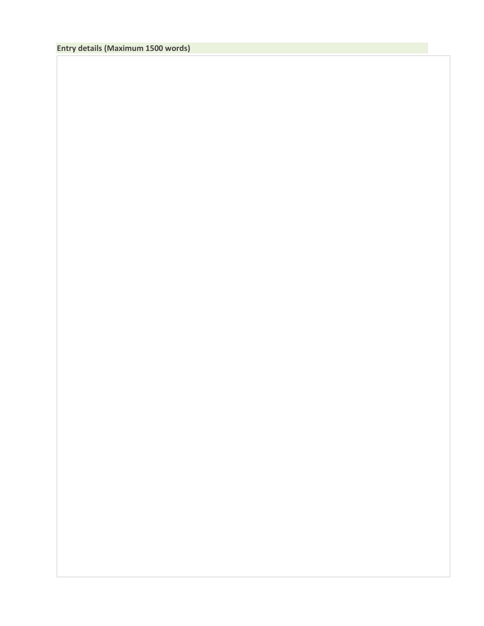# **Entry details (Maximum 1500 words)**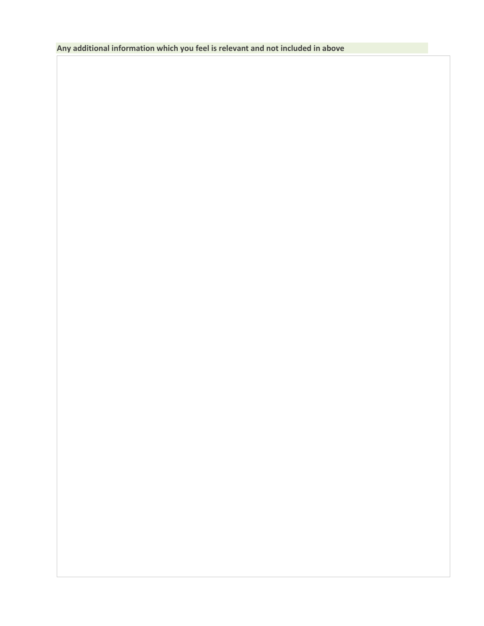**Any additional information which you feel is relevant and not included in above**